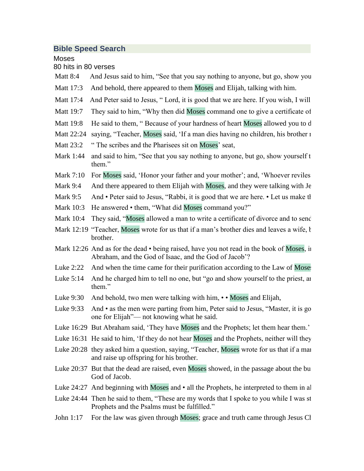## **Bible Speed Search**

Moses

80 hits in 80 verses

- Matt 8:4 And Jesus said to him, "See that you say nothing to anyone, but go, show you
- Matt 17:3 And behold, there appeared to them Moses and Elijah, talking with him.
- Matt 17:4 And Peter said to Jesus, " Lord, it is good that we are here. If you wish, I will
- Matt 19:7 They said to him, "Why then did Moses command one to give a certificate of
- Matt 19:8 He said to them, " Because of your hardness of heart Moses allowed you to d
- Matt 22:24 saying, "Teacher, Moses said, 'If a man dies having no children, his brother no
- Matt 23:2 " The scribes and the Pharisees sit on Moses' seat,
- Mark 1:44 and said to him, "See that you say nothing to anyone, but go, show your self to the prices and of  $\frac{1}{4}$ them."
- Mark 7:10 For Moses said, 'Honor your father and your mother'; and, 'Whoever reviles
- Mark 9:4 And there appeared to them Elijah with Moses, and they were talking with Je
- Mark 9:5 And Peter said to Jesus, "Rabbi, it is good that we are here. Let us make the
- Mark 10:3 He answered them, "What did Moses command you?"
- Mark 10:4 They said, "Moses allowed a man to write a certificate of divorce and to send
- Mark 12:19 "Teacher, Moses wrote for us that if a man's brother dies and leaves a wife, the man \* must take the widow and raise the widow and raise the widow and raise the widow and raise up of  $\mu$ brother.
- Mark 12:26 And as for the dead  $\cdot$  being raised, have you not read in the book of Moses, in Abraham, and the God of Isaac, and the God of Jacob"?
- Luke  $2:22$  And when the time came for their purification according to the Law of Moses
- Luke  $5:14$  And he charged him to tell no one, but "go and show your cleansity for the priest, and Luke  $5:14$ them."
- Luke 9:30 And behold, two men were talking with him,  $\cdot \cdot$  Moses and Elijah,
- Luke 9:33 And as the men were parting from him, Peter said to Jesus, "Master, it is go one for Elijah"— not knowing what he said.
- Luke 16:29 But Abraham said, 'They have Moses and the Prophets; let them hear them.'
- Luke 16:31 He said to him, 'If they do not hear Moses and the Prophets, neither will they
- Luke 20:28 they asked him a question, saying, "Teacher, Moses wrote for us that if a man and raise up offspring for his brother.
- Luke  $20:37$  But that the dead are raised, even Moses showed, in the passage about the bu God of Jacob.
- Luke  $24:27$  And beginning with Moses and  $\cdot$  all the Prophets, he interpreted to them in all
- Luke 24:44 Then he said to them, "These are my words that I spoke to you while I was st Prophets and the Psalms must be fulfilled."
- John 1:17 For the law was given through Moses; grace and truth came through Jesus Cl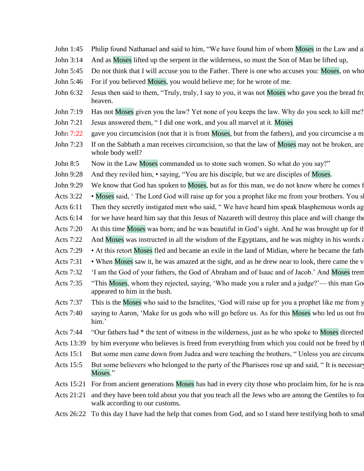- John 1:45 Philip found Nathanael and said to him, "We have found him of whom Moses in the Law and a
- John 3:14 And as Moses lifted up the serpent in the wilderness, so must the Son of Man be lifted up,
- John 5:45 Do not think that I will accuse you to the Father. There is one who accuses you: Moses, on who
- John 5:46 For if you believed Moses, you would believe me; for he wrote of me.
- John 6:32 Jesus then said to them, "Truly, truly, I say to you, it was not Moses who gave you the bread from heaven, but my Father gives you the true bread from heaven, but my Father gives you the true bread from the true heaven.
- John 7:19 Has not Moses given you the law? Yet none of you keeps the law. Why do you seek to kill me?
- John 7:21 Jesus answered them, " I did one work, and you all marvel at it. Moses
- John 7:22 gave you circumcision (not that it is from Moses, but from the fathers), and you circumcise a m
- John 7:23 If on the Sabbath a man receives circumcision, so that the law of Moses may not be broken, are whole body well?
- John 8:5 Now in the Law Moses commanded us to stone such women. So what do you say?"
- John 9:28 And they reviled him, saying, "You are his disciple, but we are disciples of Moses.
- John 9:29 We know that God has spoken to Moses, but as for this man, we do not know where he comes from."
- Acts  $3:22$  Moses said, ' The Lord God will raise up for you a prophet like me from your brothers. You shall like
- Acts 6:11 Then they secretly instigated men who said, "We have heard him speak blasphemous words ag
- Acts 6:14 for we have heard him say that this Jesus of Nazareth will destroy this place and will change the
- Acts 7:20 At this time Moses was born; and he was beautiful in God's sight. And he was brought up for the
- Acts 7:22 And Moses was instructed in all the wisdom of the Egyptians, and he was mighty in his words and deeds.
- Acts 7:29 At this retort Moses fled and became an exile in the land of Midian, where he became the fath
- Acts 7:31 When Moses saw it, he was amazed at the sight, and as he drew near to look, there came the v
- Acts 7:32 "I am the God of your fathers, the God of Abraham and of Isaac and of Jacob.' And Moses trem
- Acts 7:35 "This Moses, whom they rejected, saying, 'Who made you a ruler and a judge?'— this man Go appeared to him in the bush.
- Acts 7:37 This is the Moses who said to the Israelites, 'God will raise up for you a prophet like me from y
- Acts 7:40 saying to Aaron, 'Make for us gods who will go before us. As for this Moses who led us out from the land of Egyptian of Egyptian of Egyptian and  $\alpha$ him.'
- Acts 7:44 "Our fathers had \* the tent of witness in the wilderness, just as he who spoke to Moses directed
- Acts 13:39 by him everyone who believes is freed from everything from which you could not be freed by the law of Moses.
- Acts 15:1 But some men came down from Judea and were teaching the brothers, " Unless you are circumo
- Acts 15:5 But some believers who belonged to the party of the Pharisees rose up and said, "It is necessary Moses."
- Acts 15:21 For from ancient generations Moses has had in every city those who proclaim him, for he is rea
- Acts 21:21 and they have been told about you that you teach all the Jews who are among the Gentiles to for walk according to our customs.
- Acts 26:22 To this day I have had the help that comes from God, and so I stand here testifying both to small